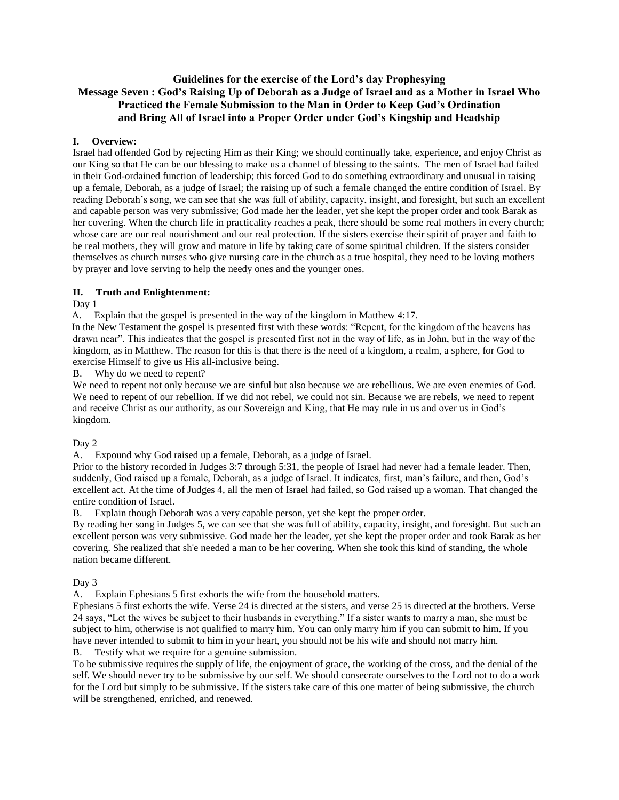## **Guidelines for the exercise of the Lord's day Prophesying Message Seven : God's Raising Up of Deborah as a Judge of Israel and as a Mother in Israel Who Practiced the Female Submission to the Man in Order to Keep God's Ordination and Bring All of Israel into a Proper Order under God's Kingship and Headship**

## **I. Overview:**

Israel had offended God by rejecting Him as their King; we should continually take, experience, and enjoy Christ as our King so that He can be our blessing to make us a channel of blessing to the saints. The men of Israel had failed in their God-ordained function of leadership; this forced God to do something extraordinary and unusual in raising up a female, Deborah, as a judge of Israel; the raising up of such a female changed the entire condition of Israel. By reading Deborah's song, we can see that she was full of ability, capacity, insight, and foresight, but such an excellent and capable person was very submissive; God made her the leader, yet she kept the proper order and took Barak as her covering. When the church life in practicality reaches a peak, there should be some real mothers in every church; whose care are our real nourishment and our real protection. If the sisters exercise their spirit of prayer and faith to be real mothers, they will grow and mature in life by taking care of some spiritual children. If the sisters consider themselves as church nurses who give nursing care in the church as a true hospital, they need to be loving mothers by prayer and love serving to help the needy ones and the younger ones.

## **II. Truth and Enlightenment:**

Day  $1 -$ 

A. Explain that the gospel is presented in the way of the kingdom in Matthew 4:17.

In the New Testament the gospel is presented first with these words: "Repent, for the kingdom of the heavens has drawn near". This indicates that the gospel is presented first not in the way of life, as in John, but in the way of the kingdom, as in Matthew. The reason for this is that there is the need of a kingdom, a realm, a sphere, for God to exercise Himself to give us His all-inclusive being.

B. Why do we need to repent?

We need to repent not only because we are sinful but also because we are rebellious. We are even enemies of God. We need to repent of our rebellion. If we did not rebel, we could not sin. Because we are rebels, we need to repent and receive Christ as our authority, as our Sovereign and King, that He may rule in us and over us in God's kingdom.

Day  $2-$ 

A. Expound why God raised up a female, Deborah, as a judge of Israel.

Prior to the history recorded in Judges 3:7 through 5:31, the people of Israel had never had a female leader. Then, suddenly, God raised up a female, Deborah, as a judge of Israel. It indicates, first, man's failure, and then, God's excellent act. At the time of Judges 4, all the men of Israel had failed, so God raised up a woman. That changed the entire condition of Israel.

B. Explain though Deborah was a very capable person, yet she kept the proper order.

By reading her song in Judges 5, we can see that she was full of ability, capacity, insight, and foresight. But such an excellent person was very submissive. God made her the leader, yet she kept the proper order and took Barak as her covering. She realized that sh'e needed a man to be her covering. When she took this kind of standing, the whole nation became different.

Day  $3-$ 

A. Explain Ephesians 5 first exhorts the wife from the household matters.

Ephesians 5 first exhorts the wife. Verse 24 is directed at the sisters, and verse 25 is directed at the brothers. Verse 24 says, "Let the wives be subject to their husbands in everything." If a sister wants to marry a man, she must be subject to him, otherwise is not qualified to marry him. You can only marry him if you can submit to him. If you have never intended to submit to him in your heart, you should not be his wife and should not marry him.

B. Testify what we require for a genuine submission.

To be submissive requires the supply of life, the enjoyment of grace, the working of the cross, and the denial of the self. We should never try to be submissive by our self. We should consecrate ourselves to the Lord not to do a work for the Lord but simply to be submissive. If the sisters take care of this one matter of being submissive, the church will be strengthened, enriched, and renewed.